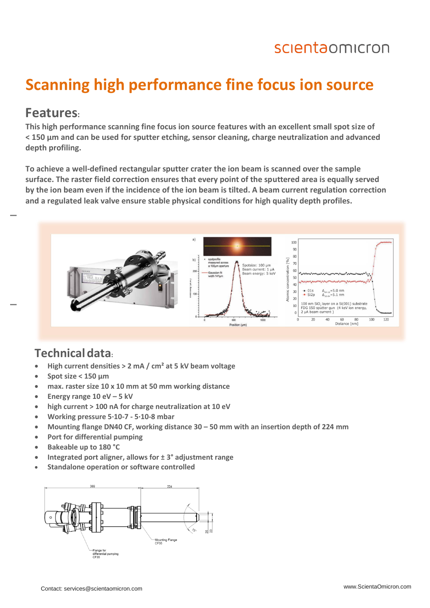## scientaomicron

## **Scanning high performance fine focus ion source**

#### **Features:**

**This high performance scanning fine focus ion source features with an excellent small spot size of < 150 µm and can be used for sputter etching, sensor cleaning, charge neutralization and advanced depth profiling.** 

**To achieve a well-defined rectangular sputter crater the ion beam is scanned over the sample surface. The raster field correction ensures that every point of the sputtered area is equally served by the ion beam even if the incidence of the ion beam is tilted. A beam current regulation correction and a regulated leak valve ensure stable physical conditions for high quality depth profiles.** 



#### **Technicaldata:**

- **High current densities > 2 mA / cm² at 5 kV beam voltage**
- **Spot size < 150 µm**
- **max. raster size 10 x 10 mm at 50 mm working distance**
- **Energy range 10 eV – 5 kV**
- **high current > 100 nA for charge neutralization at 10 eV**
- **Working pressure 5∙10-7 - 5∙10-8 mbar**
- **Mounting flange DN40 CF, working distance 30 – 50 mm with an insertion depth of 224 mm**
- **Port for differential pumping**
- **Bakeable up to 180 °C**
- **Integrated port aligner, allows for ± 3° adjustment range**
- **Standalone operation or software controlled**